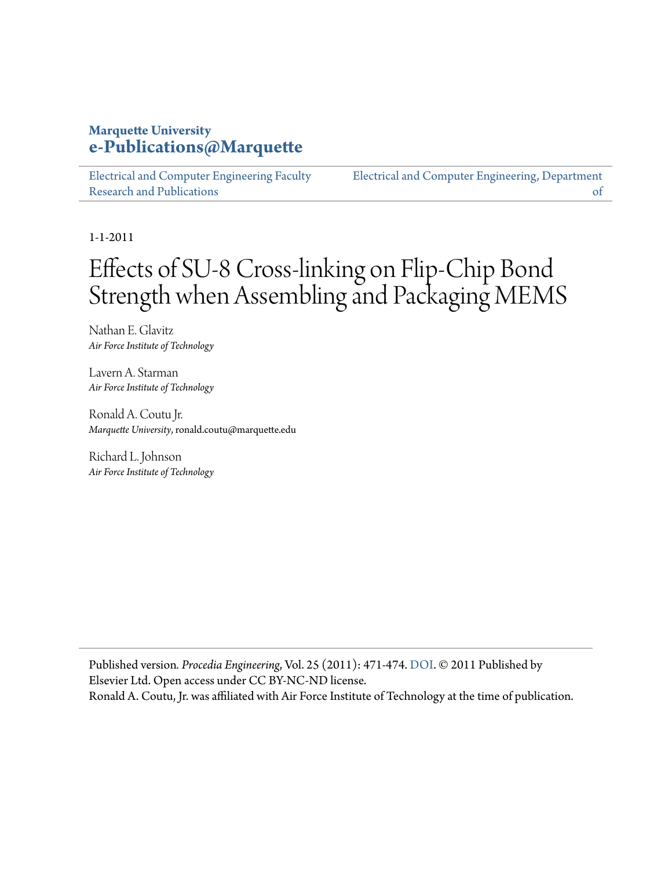# **Marquette University [e-Publications@Marquette](https://epublications.marquette.edu)**

[Electrical and Computer Engineering Faculty](https://epublications.marquette.edu/electric_fac) [Research and Publications](https://epublications.marquette.edu/electric_fac)

[Electrical and Computer Engineering, Department](https://epublications.marquette.edu/electric) [of](https://epublications.marquette.edu/electric)

1-1-2011

# Effects of SU-8 Cross-linking on Flip-Chip Bond Strength when Assembling and Packaging MEMS

Nathan E. Glavitz *Air Force Institute of Technology*

Lavern A. Starman *Air Force Institute of Technology*

Ronald A. Coutu Jr. *Marquette University*, ronald.coutu@marquette.edu

Richard L. Johnson *Air Force Institute of Technology*

Published version*. Procedia Engineering*, Vol. 25 (2011): 471-474. [DOI](https://doi.org/10.1016/j.proeng.2011.12.117). © 2011 Published by Elsevier Ltd. Open access under CC BY-NC-ND license. Ronald A. Coutu, Jr. was affiliated with Air Force Institute of Technology at the time of publication.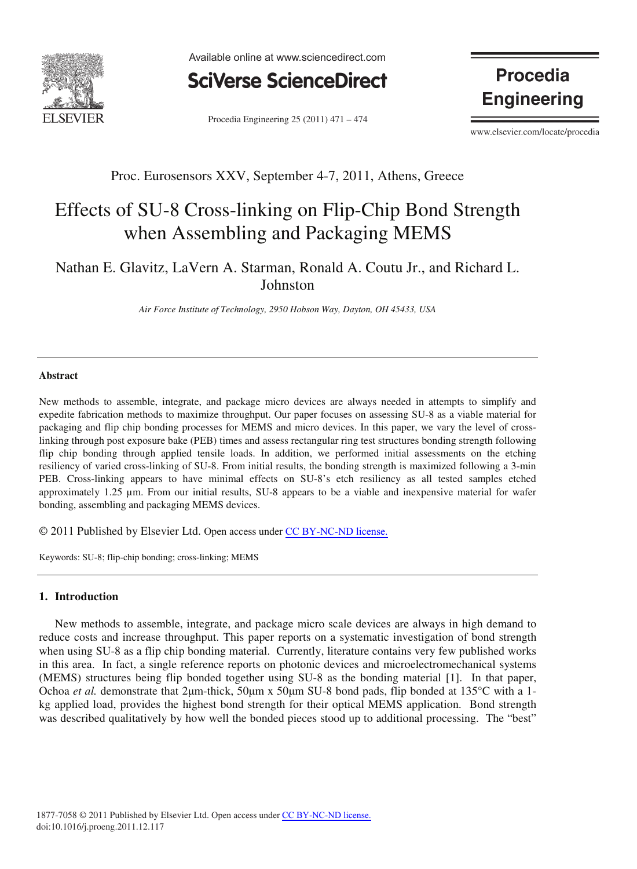

Available online at www.sciencedirect.com



Procedia Engineering 25 (2011) 471 – 474

**Procedia Engineering** 

www.elsevier.com/locate/procedia

### Proc. Eurosensors XXV, September 4-7, 2011, Athens, Greece

# Effects of SU-8 Cross-linking on Flip-Chip Bond Strength when Assembling and Packaging MEMS

## Nathan E. Glavitz, LaVern A. Starman, Ronald A. Coutu Jr., and Richard L. Johnston

*Air Force Institute of Technology, 2950 Hobson Way, Dayton, OH 45433, USA* 

#### **Abstract**

New methods to assemble, integrate, and package micro devices are always needed in attempts to simplify and expedite fabrication methods to maximize throughput. Our paper focuses on assessing SU-8 as a viable material for packaging and flip chip bonding processes for MEMS and micro devices. In this paper, we vary the level of crosslinking through post exposure bake (PEB) times and assess rectangular ring test structures bonding strength following flip chip bonding through applied tensile loads. In addition, we performed initial assessments on the etching resiliency of varied cross-linking of SU-8. From initial results, the bonding strength is maximized following a 3-min PEB. Cross-linking appears to have minimal effects on SU-8's etch resiliency as all tested samples etched approximately 1.25 μm. From our initial results, SU-8 appears to be a viable and inexpensive material for wafer bonding, assembling and packaging MEMS devices.

© 2011 Published by Elsevier Ltd. Open access under [CC BY-NC-ND license.](http://creativecommons.org/licenses/by-nc-nd/3.0/)

Keywords: SU-8; flip-chip bonding; cross-linking; MEMS

#### **1. Introduction**

New methods to assemble, integrate, and package micro scale devices are always in high demand to reduce costs and increase throughput. This paper reports on a systematic investigation of bond strength when using SU-8 as a flip chip bonding material. Currently, literature contains very few published works in this area. In fact, a single reference reports on photonic devices and microelectromechanical systems (MEMS) structures being flip bonded together using SU-8 as the bonding material [1]. In that paper, Ochoa *et al.* demonstrate that 2µm-thick, 50µm x 50µm SU-8 bond pads, flip bonded at 135°C with a 1kg applied load, provides the highest bond strength for their optical MEMS application. Bond strength was described qualitatively by how well the bonded pieces stood up to additional processing. The "best"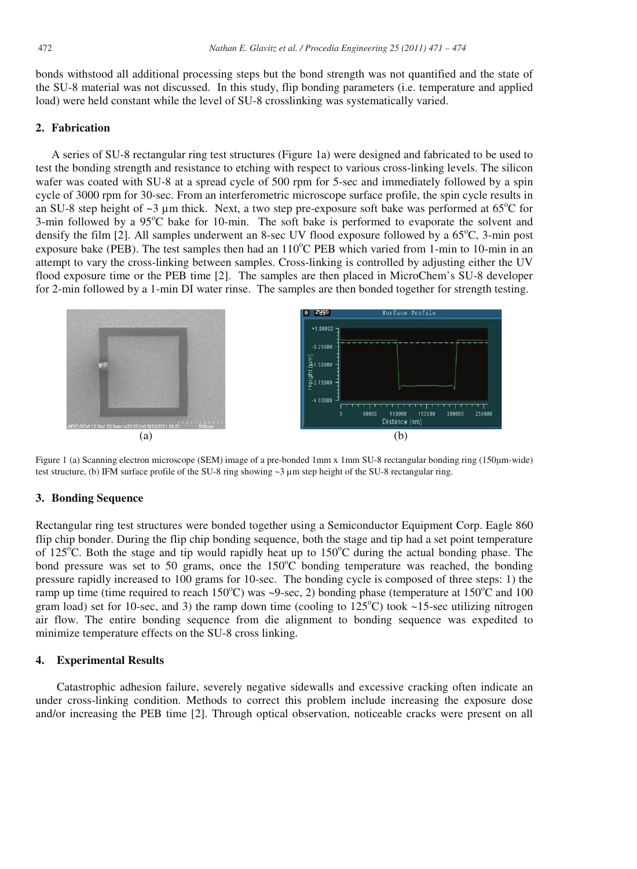bonds withstood all additional processing steps but the bond strength was not quantified and the state of the SU-8 material was not discussed. In this study, flip bonding parameters (i.e. temperature and applied load) were held constant while the level of SU-8 crosslinking was systematically varied.

#### **2. Fabrication**

A series of SU-8 rectangular ring test structures (Figure 1a) were designed and fabricated to be used to test the bonding strength and resistance to etching with respect to various cross-linking levels. The silicon wafer was coated with SU-8 at a spread cycle of 500 rpm for 5-sec and immediately followed by a spin cycle of 3000 rpm for 30-sec. From an interferometric microscope surface profile, the spin cycle results in an SU-8 step height of  $\sim$ 3 µm thick. Next, a two step pre-exposure soft bake was performed at 65 $^{\circ}$ C for 3-min followed by a 95°C bake for 10-min. The soft bake is performed to evaporate the solvent and densify the film [2]. All samples underwent an 8-sec UV flood exposure followed by a 65°C, 3-min post exposure bake (PEB). The test samples then had an 110°C PEB which varied from 1-min to 10-min in an attempt to vary the cross-linking between samples. Cross-linking is controlled by adjusting either the UV flood exposure time or the PEB time [2]. The samples are then placed in MicroChem's SU-8 developer for 2-min followed by a 1-min DI water rinse. The samples are then bonded together for strength testing.



Figure 1 (a) Scanning electron microscope (SEM) image of a pre-bonded 1mm x 1mm SU-8 rectangular bonding ring (150µm-wide) test structure, (b) IFM surface profile of the SU-8 ring showing ~3 μm step height of the SU-8 rectangular ring.

#### **3. Bonding Sequence**

Rectangular ring test structures were bonded together using a Semiconductor Equipment Corp. Eagle 860 flip chip bonder. During the flip chip bonding sequence, both the stage and tip had a set point temperature of 125<sup>°</sup>C. Both the stage and tip would rapidly heat up to 150<sup>°</sup>C during the actual bonding phase. The bond pressure was set to 50 grams, once the 150°C bonding temperature was reached, the bonding pressure rapidly increased to 100 grams for 10-sec. The bonding cycle is composed of three steps: 1) the ramp up time (time required to reach  $150^{\circ}$ C) was ~9-sec, 2) bonding phase (temperature at  $150^{\circ}$ C and  $100$ gram load) set for 10-sec, and 3) the ramp down time (cooling to  $125^{\circ}$ C) took ~15-sec utilizing nitrogen air flow. The entire bonding sequence from die alignment to bonding sequence was expedited to minimize temperature effects on the SU-8 cross linking.

#### **4. Experimental Results**

Catastrophic adhesion failure, severely negative sidewalls and excessive cracking often indicate an under cross-linking condition. Methods to correct this problem include increasing the exposure dose and/or increasing the PEB time [2]. Through optical observation, noticeable cracks were present on all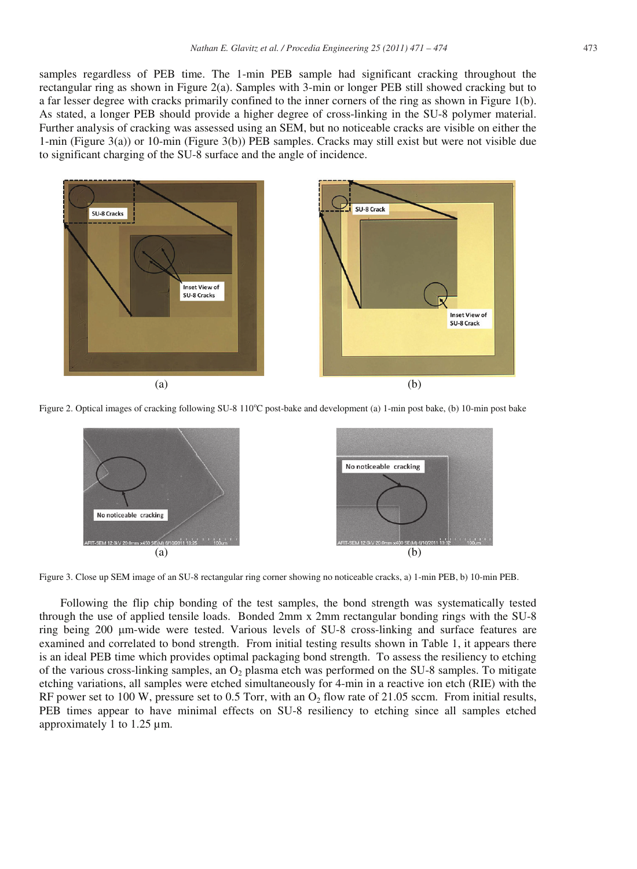samples regardless of PEB time. The 1-min PEB sample had significant cracking throughout the rectangular ring as shown in Figure 2(a). Samples with 3-min or longer PEB still showed cracking but to a far lesser degree with cracks primarily confined to the inner corners of the ring as shown in Figure 1(b). As stated, a longer PEB should provide a higher degree of cross-linking in the SU-8 polymer material. Further analysis of cracking was assessed using an SEM, but no noticeable cracks are visible on either the 1-min (Figure 3(a)) or 10-min (Figure 3(b)) PEB samples. Cracks may still exist but were not visible due to significant charging of the SU-8 surface and the angle of incidence.



Figure 2. Optical images of cracking following SU-8 110°C post-bake and development (a) 1-min post bake, (b) 10-min post bake



Figure 3. Close up SEM image of an SU-8 rectangular ring corner showing no noticeable cracks, a) 1-min PEB, b) 10-min PEB.

Following the flip chip bonding of the test samples, the bond strength was systematically tested through the use of applied tensile loads. Bonded 2mm x 2mm rectangular bonding rings with the SU-8 ring being 200 µm-wide were tested. Various levels of SU-8 cross-linking and surface features are examined and correlated to bond strength. From initial testing results shown in Table 1, it appears there is an ideal PEB time which provides optimal packaging bond strength. To assess the resiliency to etching of the various cross-linking samples, an  $O<sub>2</sub>$  plasma etch was performed on the SU-8 samples. To mitigate etching variations, all samples were etched simultaneously for 4-min in a reactive ion etch (RIE) with the RF power set to 100 W, pressure set to 0.5 Torr, with an  $O<sub>2</sub>$  flow rate of 21.05 sccm. From initial results, PEB times appear to have minimal effects on SU-8 resiliency to etching since all samples etched approximately 1 to 1.25 μm.